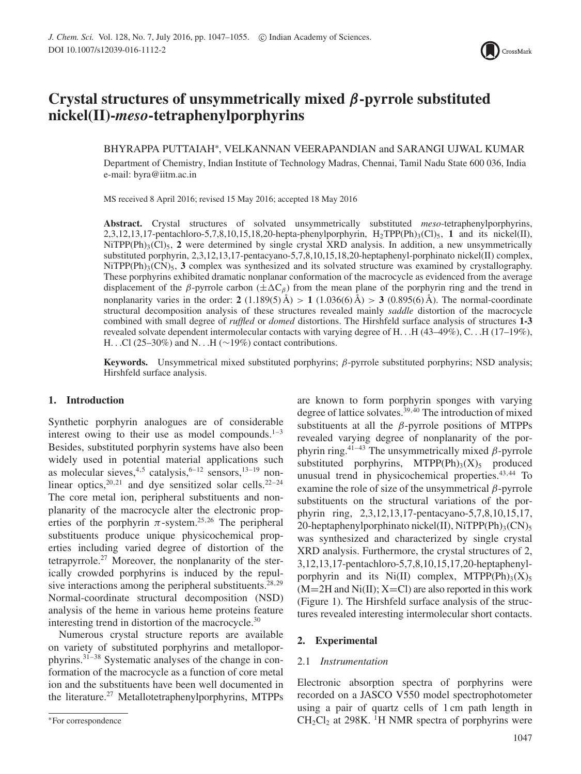

# **Crystal structures of unsymmetrically mixed** *β***-pyrrole substituted nickel(II)-***meso***-tetraphenylporphyrins**

BHYRAPPA PUTTAIAH∗, VELKANNAN VEERAPANDIAN and SARANGI UJWAL KUMAR Department of Chemistry, Indian Institute of Technology Madras, Chennai, Tamil Nadu State 600 036, India e-mail: byra@iitm.ac.in

MS received 8 April 2016; revised 15 May 2016; accepted 18 May 2016

**Abstract.** Crystal structures of solvated unsymmetrically substituted *meso*-tetraphenylporphyrins, 2,3,12,13,17-pentachloro-5,7,8,10,15,18,20-hepta-phenylporphyrin,  $H_2TPP(Ph)_{3}(Cl)_{5}$ , 1 and its nickel(II),  $NiTPP(Ph)_{3}(Cl)_{5}$ , 2 were determined by single crystal XRD analysis. In addition, a new unsymmetrically substituted porphyrin, 2,3,12,13,17-pentacyano-5,7,8,10,15,18,20-heptaphenyl-porphinato nickel(II) complex,  $NiTPP(Ph)_{3}(CN)_{5}$ , **3** complex was synthesized and its solvated structure was examined by crystallography. These porphyrins exhibited dramatic nonplanar conformation of the macrocycle as evidenced from the average displacement of the *β*-pyrrole carbon ( $\pm \Delta C_{\beta}$ ) from the mean plane of the porphyrin ring and the trend in nonplanarity varies in the order:  $2(1.189(5) \text{ Å}) > 1(1.036(6) \text{ Å}) > 3(0.895(6) \text{ Å})$ . The normal-coordinate structural decomposition analysis of these structures revealed mainly *saddle* distortion of the macrocycle combined with small degree of *ruffled* or *domed* distortions. The Hirshfeld surface analysis of structures **1-3** revealed solvate dependent intermolecular contacts with varying degree of H*...*H (43–49%), C*...*H (17–19%), H*...*Cl (25–30%) and N*...*H (∼19%) contact contributions.

**Keywords.** Unsymmetrical mixed substituted porphyrins; *β*-pyrrole substituted porphyrins; NSD analysis; Hirshfeld surface analysis.

## **1. Introduction**

Synthetic porphyrin analogues are of considerable interest owing to their use as model compounds. $1-3$ Besides, substituted porphyrin systems have also been widely used in potential material applications such as molecular sieves,<sup>4,5</sup> catalysis,<sup>6–12</sup> sensors,<sup>13–19</sup> nonlinear optics,  $20,21$  and dye sensitized solar cells.  $22-24$ The core metal ion, peripheral substituents and nonplanarity of the macrocycle alter the electronic properties of the porphyrin  $\pi$ -system.<sup>25,26</sup> The peripheral substituents produce unique physicochemical properties including varied degree of distortion of the tetrapyrrole.<sup>27</sup> Moreover, the nonplanarity of the sterically crowded porphyrins is induced by the repulsive interactions among the peripheral substituents.<sup>28,29</sup> Normal-coordinate structural decomposition (NSD) analysis of the heme in various heme proteins feature interesting trend in distortion of the macrocycle.<sup>30</sup>

Numerous crystal structure reports are available on variety of substituted porphyrins and metalloporphyrins.31–38 Systematic analyses of the change in conformation of the macrocycle as a function of core metal ion and the substituents have been well documented in the literature.27 Metallotetraphenylporphyrins, MTPPs are known to form porphyrin sponges with varying degree of lattice solvates.<sup>39,40</sup> The introduction of mixed substituents at all the *β*-pyrrole positions of MTPPs revealed varying degree of nonplanarity of the porphyrin ring.<sup>41–43</sup> The unsymmetrically mixed  $\beta$ -pyrrole substituted porphyrins,  $MTPP(Ph)_{3}(X)_{5}$  produced unusual trend in physicochemical properties. $43,44$  To examine the role of size of the unsymmetrical *β*-pyrrole substituents on the structural variations of the porphyrin ring, 2,3,12,13,17-pentacyano-5,7,8,10,15,17, 20-heptaphenylporphinato nickel(II), NiTPP(Ph)<sub>3</sub>(CN)<sub>5</sub> was synthesized and characterized by single crystal XRD analysis. Furthermore, the crystal structures of 2, 3,12,13,17-pentachloro-5,7,8,10,15,17,20-heptaphenylporphyrin and its Ni(II) complex, MTPP(Ph)3(X)5  $(M=2H$  and  $Ni(II)$ ;  $X=Cl$ ) are also reported in this work (Figure 1). The Hirshfeld surface analysis of the structures revealed interesting intermolecular short contacts.

## **2. Experimental**

## 2.1 *Instrumentation*

Electronic absorption spectra of porphyrins were recorded on a JASCO V550 model spectrophotometer using a pair of quartz cells of 1 cm path length in  $CH<sub>2</sub>Cl<sub>2</sub>$  at 298K. <sup>1</sup>H NMR spectra of porphyrins were

<sup>∗</sup>For correspondence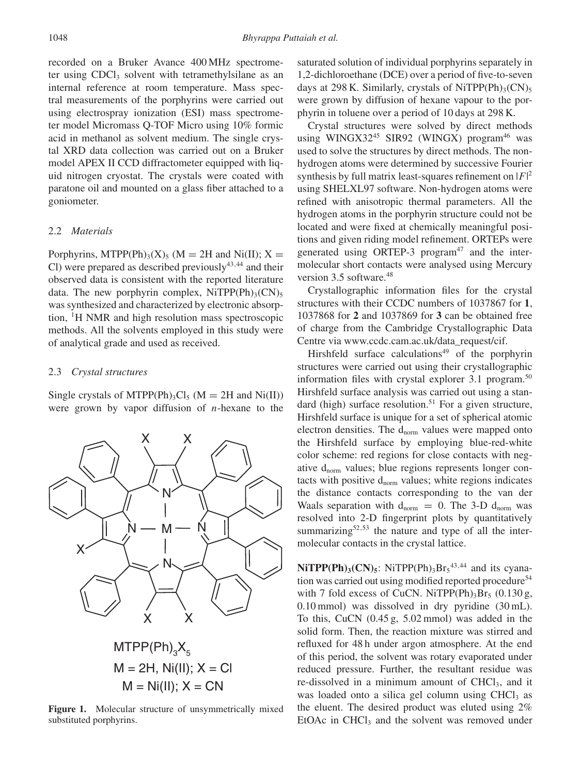recorded on a Bruker Avance 400 MHz spectrometer using CDCl<sub>3</sub> solvent with tetramethylsilane as an internal reference at room temperature. Mass spectral measurements of the porphyrins were carried out using electrospray ionization (ESI) mass spectrometer model Micromass Q-TOF Micro using 10% formic acid in methanol as solvent medium. The single crystal XRD data collection was carried out on a Bruker model APEX II CCD diffractometer equipped with liquid nitrogen cryostat. The crystals were coated with paratone oil and mounted on a glass fiber attached to a goniometer.

#### 2.2 *Materials*

Porphyrins, MTPP(Ph)<sub>3</sub>(X)<sub>5</sub> (M = 2H and Ni(II); X = Cl) were prepared as described previously<sup>43,44</sup> and their observed data is consistent with the reported literature data. The new porphyrin complex,  $NiTPP(Ph)_{3}(CN)_{5}$ was synthesized and characterized by electronic absorption, 1H NMR and high resolution mass spectroscopic methods. All the solvents employed in this study were of analytical grade and used as received.

#### 2.3 *Crystal structures*

Single crystals of MTPP(Ph)<sub>3</sub>Cl<sub>5</sub> (M = 2H and Ni(II)) were grown by vapor diffusion of *n*-hexane to the



Figure 1. Molecular structure of unsymmetrically mixed substituted porphyrins.

saturated solution of individual porphyrins separately in 1,2-dichloroethane (DCE) over a period of five-to-seven days at 298 K. Similarly, crystals of NiTPP(Ph)<sub>3</sub>(CN)<sub>5</sub> were grown by diffusion of hexane vapour to the porphyrin in toluene over a period of 10 days at 298 K.

Crystal structures were solved by direct methods using WINGX32<sup>45</sup> SIR92 (WINGX) program<sup>46</sup> was used to solve the structures by direct methods. The nonhydrogen atoms were determined by successive Fourier synthesis by full matrix least-squares refinement on  $|F|^2$ using SHELXL97 software. Non-hydrogen atoms were refined with anisotropic thermal parameters. All the hydrogen atoms in the porphyrin structure could not be located and were fixed at chemically meaningful positions and given riding model refinement. ORTEPs were generated using ORTEP-3 program $47$  and the intermolecular short contacts were analysed using Mercury version 3.5 software.<sup>48</sup>

Crystallographic information files for the crystal structures with their CCDC numbers of 1037867 for **1**, 1037868 for **2** and 1037869 for **3** can be obtained free of charge from the Cambridge Crystallographic Data Centre via www.ccdc.cam.ac.uk/data\_request/cif.

Hirshfeld surface calculations<sup>49</sup> of the porphyrin structures were carried out using their crystallographic information files with crystal explorer 3.1 program.<sup>50</sup> Hirshfeld surface analysis was carried out using a standard (high) surface resolution.<sup>51</sup> For a given structure, Hirshfeld surface is unique for a set of spherical atomic electron densities. The  $d_{norm}$  values were mapped onto the Hirshfeld surface by employing blue-red-white color scheme: red regions for close contacts with negative  $d_{norm}$  values; blue regions represents longer contacts with positive  $d_{norm}$  values; white regions indicates the distance contacts corresponding to the van der Waals separation with  $d_{norm} = 0$ . The 3-D  $d_{norm}$  was resolved into 2-D fingerprint plots by quantitatively summarizing $52,53$  the nature and type of all the intermolecular contacts in the crystal lattice.

 $NiTPP(Ph)_{3}(CN)_{5}$ : NiTPP(Ph)<sub>3</sub>Br<sub>5</sub><sup>43,44</sup> and its cyanation was carried out using modified reported procedure<sup>54</sup> with 7 fold excess of CuCN. NiTPP(Ph)<sub>3</sub>Br<sub>5</sub> (0.130 g, 0.10 mmol) was dissolved in dry pyridine (30 mL). To this, CuCN (0.45 g, 5.02 mmol) was added in the solid form. Then, the reaction mixture was stirred and refluxed for 48 h under argon atmosphere. At the end of this period, the solvent was rotary evaporated under reduced pressure. Further, the resultant residue was re-dissolved in a minimum amount of CHCl<sub>3</sub>, and it was loaded onto a silica gel column using  $CHCl<sub>3</sub>$  as the eluent. The desired product was eluted using 2% EtOAc in  $CHCl<sub>3</sub>$  and the solvent was removed under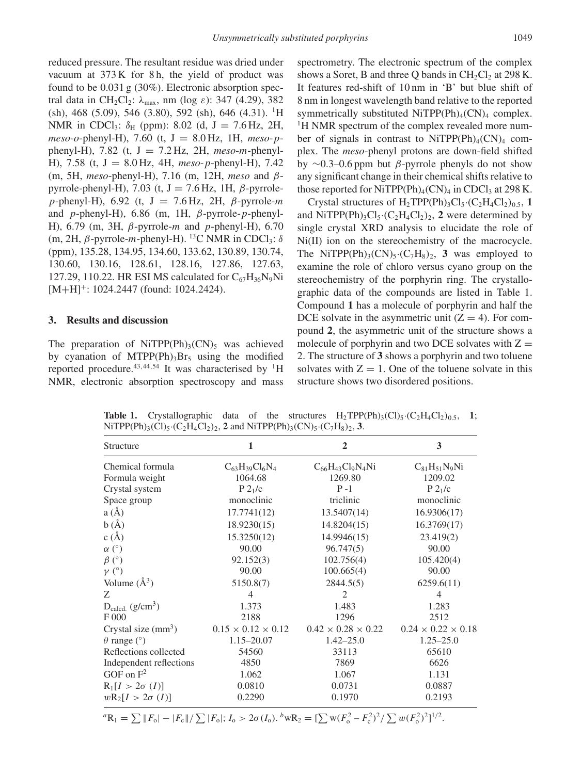reduced pressure. The resultant residue was dried under vacuum at  $373 K$  for 8h, the yield of product was found to be 0.031 g (30%). Electronic absorption spectral data in CH2Cl2: *λ*max, nm (log *ε*): 347 (4.29), 382  $(\text{sh})$ , 468 (5.09), 546 (3.80), 592  $(\text{sh})$ , 646 (4.31). <sup>1</sup>H NMR in CDCl<sub>3</sub>:  $\delta_H$  (ppm): 8.02 (d, J = 7.6 Hz, 2H, *meso*-*o*-phenyl-H), 7.60 (t, J = 8.0 Hz, 1H, *meso*-*p*phenyl-H), 7.82 (t,  $J = 7.2$  Hz, 2H, *meso-m-*phenyl-H), 7.58 (t, J = 8.0 Hz, 4H, *meso*-*p*-phenyl-H), 7.42 (m, 5H, *meso*-phenyl-H), 7.16 (m, 12H, *meso* and *β*pyrrole-phenyl-H), 7.03 (t, J = 7.6 Hz, 1H, *β*-pyrrole*p*-phenyl-H), 6.92 (t, J = 7.6 Hz, 2H, *β*-pyrrole-*m* and *p*-phenyl-H), 6.86 (m, 1H, *β*-pyrrole-*p*-phenyl-H), 6.79 (m, 3H, *β*-pyrrole-*m* and *p*-phenyl-H), 6.70 (m, 2H,  $β$ -pyrrole-*m*-phenyl-H). <sup>13</sup>C NMR in CDCl<sub>3</sub>:  $δ$ (ppm), 135.28, 134.95, 134.60, 133.62, 130.89, 130.74, 130.60, 130.16, 128.61, 128.16, 127.86, 127.63, 127.29, 110.22. HR ESI MS calculated for  $C_{67}H_{36}N_9Ni$  $[M+H]$ <sup>+</sup>: 1024.2447 (found: 1024.2424).

#### **3. Results and discussion**

The preparation of NiTPP(Ph)<sub>3</sub>(CN)<sub>5</sub> was achieved by cyanation of MTPP(Ph)<sub>3</sub>Br<sub>5</sub> using the modified reported procedure.<sup>43,44,54</sup> It was characterised by <sup>1</sup>H NMR, electronic absorption spectroscopy and mass spectrometry. The electronic spectrum of the complex shows a Soret, B and three Q bands in  $CH_2Cl_2$  at 298 K. It features red-shift of 10 nm in 'B' but blue shift of 8 nm in longest wavelength band relative to the reported symmetrically substituted NiTPP(Ph)<sub>4</sub>(CN)<sub>4</sub> complex. <sup>1</sup>H NMR spectrum of the complex revealed more number of signals in contrast to NiTPP(Ph)<sub>4</sub>(CN)<sub>4</sub> complex. The *meso*-phenyl protons are down-field shifted by ∼0.3–0.6 ppm but *β*-pyrrole phenyls do not show any significant change in their chemical shifts relative to those reported for NiTPP(Ph)<sub>4</sub>(CN)<sub>4</sub> in CDCl<sub>3</sub> at 298 K.

Crystal structures of  $H_2TPP(Ph)_3Cl_5 \cdot (C_2H_4Cl_2)_{0.5}$ , 1 and NiTPP(Ph)<sub>3</sub>Cl<sub>5</sub>·(C<sub>2</sub>H<sub>4</sub>Cl<sub>2</sub>)<sub>2</sub>, 2 were determined by single crystal XRD analysis to elucidate the role of Ni(II) ion on the stereochemistry of the macrocycle. The NiTPP(Ph)<sub>3</sub>(CN)<sub>5</sub>·(C<sub>7</sub>H<sub>8</sub>)<sub>2</sub>, **3** was employed to examine the role of chloro versus cyano group on the stereochemistry of the porphyrin ring. The crystallographic data of the compounds are listed in Table 1. Compound **1** has a molecule of porphyrin and half the DCE solvate in the asymmetric unit  $(Z = 4)$ . For compound **2**, the asymmetric unit of the structure shows a molecule of porphyrin and two DCE solvates with  $Z =$ 2. The structure of **3** shows a porphyrin and two toluene solvates with  $Z = 1$ . One of the toluene solvate in this structure shows two disordered positions.

| Structure                   | 1                              | $\mathbf{2}$                   | 3                              |
|-----------------------------|--------------------------------|--------------------------------|--------------------------------|
| Chemical formula            | $C_{63}H_{39}Cl_6N_4$          | $C_{66}H_{43}Cl_9N_4Ni$        | $C_{81}H_{51}N_9Ni$            |
| Formula weight              | 1064.68                        | 1269.80                        | 1209.02                        |
| Crystal system              | P2 <sub>1</sub> /c             | $P - 1$                        | P2 <sub>1</sub> /c             |
| Space group                 | monoclinic                     | triclinic                      | monoclinic                     |
| a(A)                        | 17.7741(12)                    | 13.5407(14)                    | 16.9306(17)                    |
| b(A)                        | 18.9230(15)                    | 14.8204(15)                    | 16.3769(17)                    |
| c(A)                        | 15.3250(12)                    | 14.9946(15)                    | 23.419(2)                      |
| $\alpha$ (°)                | 90.00                          | 96.747(5)                      | 90.00                          |
| $\beta$ (°)                 | 92.152(3)                      | 102.756(4)                     | 105.420(4)                     |
| $\gamma$ (°)                | 90.00                          | 100.665(4)                     | 90.00                          |
| Volume $(A^3)$              | 5150.8(7)                      | 2844.5(5)                      | 6259.6(11)                     |
| Z                           | 4                              | 2                              | $\overline{4}$                 |
| $D_{\text{calcd.}}(g/cm^3)$ | 1.373                          | 1.483                          | 1.283                          |
| F000                        | 2188                           | 1296                           | 2512                           |
| Crystal size $(mm3)$        | $0.15 \times 0.12 \times 0.12$ | $0.42 \times 0.28 \times 0.22$ | $0.24 \times 0.22 \times 0.18$ |
| $\theta$ range (°)          | $1.15 - 20.07$                 | $1.42 - 25.0$                  | $1.25 - 25.0$                  |
| Reflections collected       | 54560                          | 33113                          | 65610                          |
| Independent reflections     | 4850                           | 7869                           | 6626                           |
| GOF on $F^2$                | 1.062                          | 1.067                          | 1.131                          |
| $R_1[I > 2\sigma (I)]$      | 0.0810                         | 0.0731                         | 0.0887                         |
| $wR_2[I > 2\sigma(I)]$      | 0.2290                         | 0.1970                         | 0.2193                         |

**Table 1.** Crystallographic data of the structures  $H_2TPP(Ph)_3(Cl)_5(C_2H_4Cl_2)_{0.5}$ , 1;  $NiTPP(Ph)_{3}(Cl)_{5} \cdot (C_{2}H_{4}Cl_{2})_{2}$ , **2** and  $NiTPP(Ph)_{3}(CN)_{5} \cdot (C_{7}H_{8})_{2}$ , **3**.

 ${}^{a}R_{1} = \sum ||F_{o}|-|F_{c}||/\sum |F_{o}|; I_{o} > 2\sigma(I_{o}).$   ${}^{b}wR_{2} = \left[\sum w(F_{o}^{2}-F_{c}^{2})^{2}/\sum w(F_{o}^{2})^{2}\right]^{1/2}.$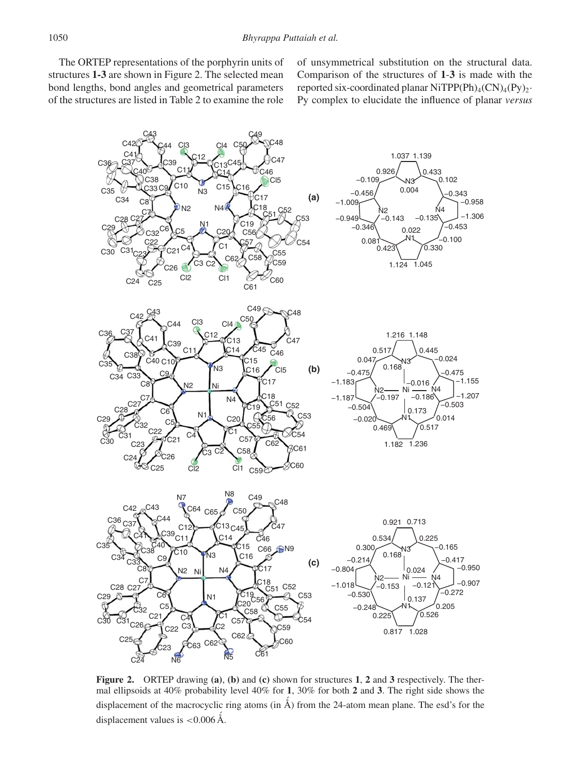The ORTEP representations of the porphyrin units of structures **1-3** are shown in Figure 2. The selected mean bond lengths, bond angles and geometrical parameters of the structures are listed in Table 2 to examine the role of unsymmetrical substitution on the structural data. Comparison of the structures of **1**-**3** is made with the reported six-coordinated planar NiTPP(Ph)<sub>4</sub>(CN)<sub>4</sub>(Py)<sub>2</sub>· Py complex to elucidate the influence of planar *versus*



**Figure 2.** ORTEP drawing **(a)**, **(b)** and **(c)** shown for structures **1**, **2** and **3** respectively. The thermal ellipsoids at 40% probability level 40% for **1**, 30% for both **2** and **3**. The right side shows the displacement of the macrocyclic ring atoms (in ´ Å) from the 24-atom mean plane. The esd's for the displacement values is <0.006 Å.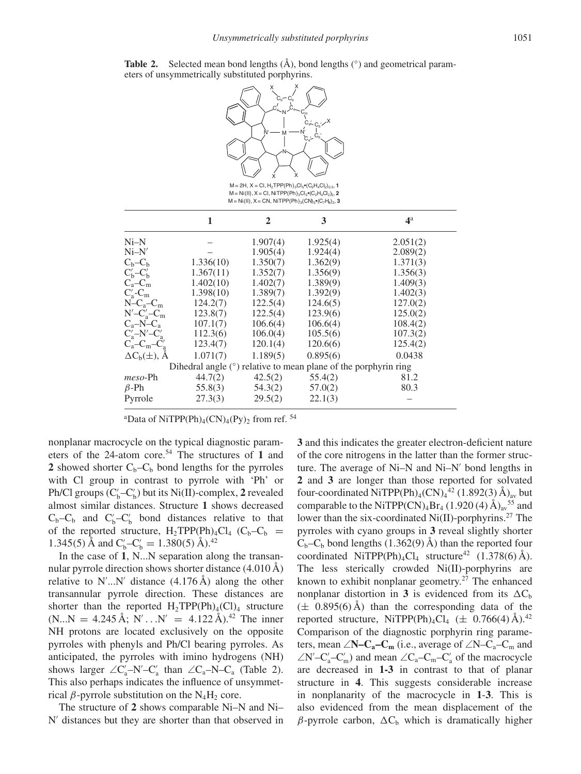

**Table 2.** Selected mean bond lengths  $(A)$ , bond lengths  $(°)$  and geometrical parameters of unsymmetrically substituted porphyrins.

 $M = 2H$ ,  $X = CI$ ,  $H_2 TPP(Ph)$ <sub>3</sub> $Cl_5$ <sup>o</sup> $(C_2H_4Cl_2)$ <sub>0.5</sub>, **1**  $M = Ni(II), X = Cl, NiTPP(Ph)_{3}Cl_{5} \bullet (C_{2}H_{4}Cl_{2})_{2}$ , 2  $M = Ni(II), X = CN, NiTPP(Ph)_{3}(CN)_{5} \cdot (C_7H_8)_{2}$ , **3** 

|                                                                   | 1         | $\mathbf{2}$ | 3        | 4 <sup>a</sup> |  |  |  |
|-------------------------------------------------------------------|-----------|--------------|----------|----------------|--|--|--|
| $Ni-N$                                                            |           | 1.907(4)     | 1.925(4) | 2.051(2)       |  |  |  |
| $Ni-N'$                                                           |           | 1.905(4)     | 1.924(4) | 2.089(2)       |  |  |  |
| $C_b - C_b$                                                       | 1.336(10) | 1.350(7)     | 1.362(9) | 1.371(3)       |  |  |  |
| $C'_{h}$ – $C'_{h}$                                               | 1.367(11) | 1.352(7)     | 1.356(9) | 1.356(3)       |  |  |  |
| $C_a - C_m$                                                       | 1.402(10) | 1.402(7)     | 1.389(9) | 1.409(3)       |  |  |  |
| $C'_{\rm a}$ - $C_{\rm m}$                                        | 1.398(10) | 1.389(7)     | 1.392(9) | 1.402(3)       |  |  |  |
| $N-C_a-C_m$                                                       | 124.2(7)  | 122.5(4)     | 124.6(5) | 127.0(2)       |  |  |  |
| $N'-C'_{\rm a}-C_{\rm m}$                                         | 123.8(7)  | 122.5(4)     | 123.9(6) | 125.0(2)       |  |  |  |
| $C_a-N-C_a$                                                       | 107.1(7)  | 106.6(4)     | 106.6(4) | 108.4(2)       |  |  |  |
| $C'_{a}$ -N'- $C'_{a}$                                            | 112.3(6)  | 106.0(4)     | 105.5(6) | 107.3(2)       |  |  |  |
| $C_a-C_m-C_a$                                                     | 123.4(7)  | 120.1(4)     | 120.6(6) | 125.4(2)       |  |  |  |
| $\Delta C_b(\pm)$ , Å                                             | 1.071(7)  | 1.189(5)     | 0.895(6) | 0.0438         |  |  |  |
| Dihedral angle $(°)$ relative to mean plane of the porphyrin ring |           |              |          |                |  |  |  |
| $meso-Ph$                                                         | 44.7(2)   | 42.5(2)      | 55.4(2)  | 81.2           |  |  |  |
| $\beta$ -Ph                                                       | 55.8(3)   | 54.3(2)      | 57.0(2)  | 80.3           |  |  |  |
| Pyrrole                                                           | 27.3(3)   | 29.5(2)      | 22.1(3)  |                |  |  |  |

<sup>a</sup>Data of NiTPP(Ph)<sub>4</sub>(CN)<sub>4</sub>(Py)<sub>2</sub> from ref. <sup>54</sup>

nonplanar macrocycle on the typical diagnostic parameters of the 24-atom core.<sup>54</sup> The structures of 1 and 2 showed shorter  $C_b - C_b$  bond lengths for the pyrroles with Cl group in contrast to pyrrole with 'Ph' or Ph/Cl groups (C'<sub>b</sub>-C'<sub>b</sub>) but its Ni(II)-complex, 2 revealed almost similar distances. Structure **1** shows decreased  $C_b - C_b$  and  $C'_b - C'_b$  bond distances relative to that of the reported structure,  $H_2 TPP(Ph)_4Cl_4$  (C<sub>b</sub>-C<sub>b</sub> = 1.345(5) Å and  $C'_b - C'_b = 1.380(5)$  Å).<sup>42</sup>

In the case of **1**, N...N separation along the transannular pyrrole direction shows shorter distance (4.010 Å) relative to N'...N' distance  $(4.176 \text{ Å})$  along the other transannular pyrrole direction. These distances are shorter than the reported  $H_2 TPP(Ph)_4(Cl)_4$  structure  $(N...N = 4.245 \text{ Å}; N'...N' = 4.122 \text{ Å}.^{42}$  The inner NH protons are located exclusively on the opposite pyrroles with phenyls and Ph/Cl bearing pyrroles. As anticipated, the pyrroles with imino hydrogens (NH) shows larger  $\angle C'_a$ –N'–C'<sub>a</sub> than  $\angle C_a$ –N–C<sub>a</sub> (Table 2). This also perhaps indicates the influence of unsymmetrical *β*-pyrrole substitution on the  $N_4H_2$  core.

The structure of **2** shows comparable Ni–N and Ni–  $N'$  distances but they are shorter than that observed in **3** and this indicates the greater electron-deficient nature of the core nitrogens in the latter than the former structure. The average of Ni–N and Ni–N' bond lengths in **2** and **3** are longer than those reported for solvated four-coordinated NiTPP(Ph)<sub>4</sub>(CN)<sub>4</sub><sup>42</sup> (1.892(3) Å)<sub>av</sub> but comparable to the NiTPP(CN)<sub>4</sub>Br<sub>4</sub> (1.920 (4)  $\rm{\AA}_{av}$ <sup>55</sup> and lower than the six-coordinated Ni(II)-porphyrins.<sup>27</sup> The pyrroles with cyano groups in **3** reveal slightly shorter  $C_b-C_b$  bond lengths (1.362(9) Å) than the reported four coordinated NiTPP(Ph)<sub>4</sub>Cl<sub>4</sub> structure<sup>42</sup> (1.378(6) Å). The less sterically crowded Ni(II)-porphyrins are known to exhibit nonplanar geometry.<sup>27</sup> The enhanced nonplanar distortion in **3** is evidenced from its  $\Delta C_b$  $(\pm 0.895(6)$  Å) than the corresponding data of the reported structure, NiTPP(Ph)<sub>4</sub>Cl<sub>4</sub> ( $\pm$  0.766(4) Å).<sup>42</sup> Comparison of the diagnostic porphyrin ring parameters, mean ∠**N–C<sub>a</sub>–C<sub>m</sub>** (i.e., average of ∠N–C<sub>a</sub>–C<sub>m</sub> and  $\angle N$ <sup>'</sup>–C'<sub>a</sub>–C'<sub>m</sub>) and mean  $\angle C_a$ –C<sub>'n</sub>–C'<sub>a</sub> of the macrocycle are decreased in **1-3** in contrast to that of planar structure in **4**. This suggests considerable increase in nonplanarity of the macrocycle in **1**-**3**. This is also evidenced from the mean displacement of the  $β$ -pyrrole carbon,  $ΔC<sub>b</sub>$  which is dramatically higher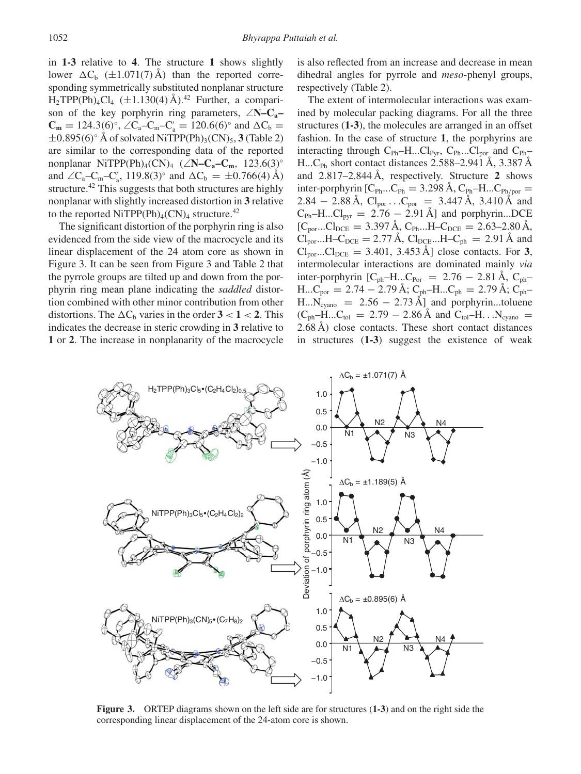in **1-3** relative to **4**. The structure **1** shows slightly lower  $\Delta C_b$  ( $\pm 1.071(7)$  Å) than the reported corresponding symmetrically substituted nonplanar structure  $H_2TPP(Ph)_4Cl_4$  ( $\pm 1.130(4)$  Å).<sup>42</sup> Further, a comparison of the key porphyrin ring parameters, ∠**N–Ca–**  $C_m = 124.3(6)^\circ$ ,  $\angle C_a - C_m - C'_a = 120.6(6)^\circ$  and  $\Delta C_b =$  $\pm 0.895(6)$ <sup>°</sup> Å of solvated NiTPP(Ph)<sub>3</sub>(CN)<sub>5</sub>, **3** (Table 2) are similar to the corresponding data of the reported nonplanar NiTPP(Ph)4(CN)4 (∠**N–Ca–Cm**, 123.6(3)◦ and  $\angle C_a - C_m - C'_a$ , 119.8(3)<sup>°</sup> and  $\Delta C_b = \pm 0.766(4)$  Å) structure.<sup>42</sup> This suggests that both structures are highly nonplanar with slightly increased distortion in **3** relative to the reported NiTPP(Ph)<sub>4</sub>(CN)<sub>4</sub> structure.<sup>42</sup>

The significant distortion of the porphyrin ring is also evidenced from the side view of the macrocycle and its linear displacement of the 24 atom core as shown in Figure 3. It can be seen from Figure 3 and Table 2 that the pyrrole groups are tilted up and down from the porphyrin ring mean plane indicating the *saddled* distortion combined with other minor contribution from other distortions. The  $\Delta C_b$  varies in the order  $3 < 1 < 2$ . This indicates the decrease in steric crowding in **3** relative to **1** or **2**. The increase in nonplanarity of the macrocycle is also reflected from an increase and decrease in mean dihedral angles for pyrrole and *meso*-phenyl groups, respectively (Table 2).

The extent of intermolecular interactions was examined by molecular packing diagrams. For all the three structures (**1-3**), the molecules are arranged in an offset fashion. In the case of structure **1**, the porphyrins are interacting through  $C_{Ph}$ –H...Cl<sub>Pyr</sub>,  $C_{Ph}$ ...Cl<sub>por</sub> and  $C_{Ph}$ – H...C<sub>Ph</sub> short contact distances 2.588–2.941 Å, 3.387 Å and 2.817–2.844 Å, respectively. Structure **2** shows inter-porphyrin  $[C_{Ph}...C_{Ph} = 3.298 \text{ Å}, C_{Ph}$ –H... $C_{Ph/por}$ 2.84  $-$  2.88 Å,  $Cl_{\text{por}}$ ... $C_{\text{por}}$  = 3.447 Å, 3.410 Å and  $C_{\text{Ph}}-H...Cl_{\text{pyr}} = 2.76 - 2.91 \text{ Å}$ ] and porphyrin...DCE  $[C_{\text{por}}...C_{\text{DCE}} = 3.397 \text{ Å}, C_{\text{Ph}}...H-C_{\text{DCE}} = 2.63-2.80 \text{ Å},$  $Cl_{\text{por}}...H-C_{\text{DCE}} = 2.77 \text{ Å}, Cl_{\text{DCE}}...H-C_{\text{ph}} = 2.91 \text{ Å}$  and  $Cl_{\text{por}}$ ...Cl<sub>pCE</sub> = 3.401, 3.453 Å] close contacts. For **3**, intermolecular interactions are dominated mainly *via* inter-porphyrin  $[C_{ph}-H...C_{Por} = 2.76 - 2.81 \text{ Å}, C_{ph}$  $H...C_{por} = 2.74 - 2.79 \text{ Å}; C_{ph} - H...C_{ph} = 2.79 \text{ Å}; C_{ph} -$ H... $\dot{N_{\text{cyano}}}$  = 2.56 – 2.73 Å] and porphyrin...toluene  $(C_{\text{ph}}-H...C_{\text{tol}} = 2.79 - 2.86 \text{ Å} \text{ and } C_{\text{tol}}-H...N_{\text{cvano}} =$ 2.68 Å) close contacts. These short contact distances in structures (**1-3**) suggest the existence of weak



**Figure 3.** ORTEP diagrams shown on the left side are for structures (**1-3**) and on the right side the corresponding linear displacement of the 24-atom core is shown.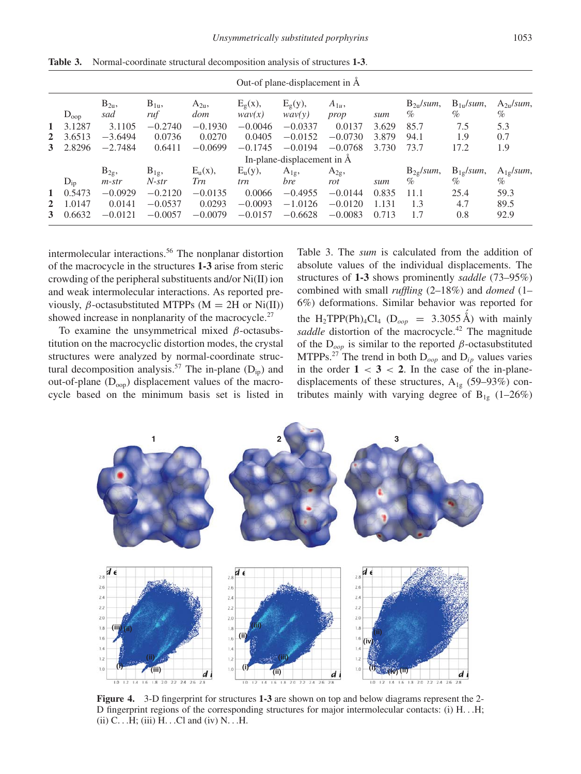| $\mathbf{1}$                                  | $D_{\text{oop}}$<br>3.1287 | $B_{2u}$<br>sad<br>3.1105                                      | $B_{1u}$<br>ruf<br>$-0.2740$                                      | $A_{2u}$<br>dom                                       | $E_g(x)$ ,<br>wav(x)                                  | $E_g(y)$ ,<br>way(y)                                   | $A_{1u}$ ,                                             |                                | $B_{2n}/sum$ ,                               | $B_{1u}/sum$ ,                               | $A_{2u}/sum$ ,                                 |
|-----------------------------------------------|----------------------------|----------------------------------------------------------------|-------------------------------------------------------------------|-------------------------------------------------------|-------------------------------------------------------|--------------------------------------------------------|--------------------------------------------------------|--------------------------------|----------------------------------------------|----------------------------------------------|------------------------------------------------|
|                                               |                            |                                                                |                                                                   |                                                       |                                                       |                                                        | prop                                                   | sum                            | %                                            | %                                            | $\%$                                           |
| $2^{\circ}$<br>3                              | 3.6513<br>2.8296           | $-3.6494$<br>$-2.7484$                                         | 0.0736<br>0.6411                                                  | $-0.1930$<br>0.0270<br>$-0.0699$                      | $-0.0046$<br>0.0405<br>$-0.1745$                      | $-0.0337$<br>$-0.0152$<br>$-0.0194$                    | 0.0137<br>$-0.0730$<br>$-0.0768$                       | 3.629<br>3.879<br>3.730        | 85.7<br>94.1<br>73.7                         | 7.5<br>1.9<br>17.2                           | 5.3<br>0.7<br>1.9                              |
|                                               |                            |                                                                |                                                                   |                                                       |                                                       | In-plane-displacement in $\AA$                         |                                                        |                                |                                              |                                              |                                                |
| $D_{ip}$<br>$\mathbf{1}$<br>$\mathbf{2}$<br>3 | 0.5473<br>1.0147<br>0.6632 | $B_{2g}$<br>$m\text{-}str$<br>$-0.0929$<br>0.0141<br>$-0.0121$ | $B_{1g}$<br>$N\text{-}str$<br>$-0.2120$<br>$-0.0537$<br>$-0.0057$ | $E_u(x)$ ,<br>Trn<br>$-0.0135$<br>0.0293<br>$-0.0079$ | $E_u(y)$ ,<br>trn<br>0.0066<br>$-0.0093$<br>$-0.0157$ | $A_{1g}$<br>bre<br>$-0.4955$<br>$-1.0126$<br>$-0.6628$ | $A_{2g}$<br>rot<br>$-0.0144$<br>$-0.0120$<br>$-0.0083$ | sum<br>0.835<br>1.131<br>0.713 | $B_{2g}/sum$ ,<br>$\%$<br>11.1<br>1.3<br>1.7 | $B_{1g}/sum$ ,<br>$\%$<br>25.4<br>4.7<br>0.8 | $A_{1g}/sum$ ,<br>$\%$<br>59.3<br>89.5<br>92.9 |

**Table 3.** Normal-coordinate structural decomposition analysis of structures **1-3**.

intermolecular interactions.<sup>56</sup> The nonplanar distortion of the macrocycle in the structures **1-3** arise from steric crowding of the peripheral substituents and/or Ni(II) ion and weak intermolecular interactions. As reported previously,  $\beta$ -octasubstituted MTPPs (M = 2H or Ni(II)) showed increase in nonplanarity of the macrocycle.<sup>27</sup>

To examine the unsymmetrical mixed *β*-octasubstitution on the macrocyclic distortion modes, the crystal structures were analyzed by normal-coordinate structural decomposition analysis.<sup>57</sup> The in-plane  $(D_{ip})$  and out-of-plane  $(D_{\text{oop}})$  displacement values of the macrocycle based on the minimum basis set is listed in

Table 3. The *sum* is calculated from the addition of absolute values of the individual displacements. The structures of **1-3** shows prominently *saddle* (73–95%) combined with small *ruffling* (2–18%) and *domed* (1– 6%) deformations. Similar behavior was reported for the H<sub>2</sub>TPP(Ph)<sub>4</sub>Cl<sub>4</sub> (D<sub>oop</sub> = 3.3055 Å) with mainly saddle distortion of the macrocycle.<sup>42</sup> The magnitude of the D*oop* is similar to the reported *β*-octasubstituted MTPPs.<sup>27</sup> The trend in both  $D_{\text{oop}}$  and  $D_{\text{ip}}$  values varies in the order  $1 < 3 < 2$ . In the case of the in-planedisplacements of these structures,  $A_{1g}$  (59–93%) contributes mainly with varying degree of  $B_{1g}$  (1–26%)



**Figure 4.** 3-D fingerprint for structures **1-3** are shown on top and below diagrams represent the 2- D fingerprint regions of the corresponding structures for major intermolecular contacts: (i) H*...*H; (ii) C*...*H; (iii) H*...*Cl and (iv) N*...*H.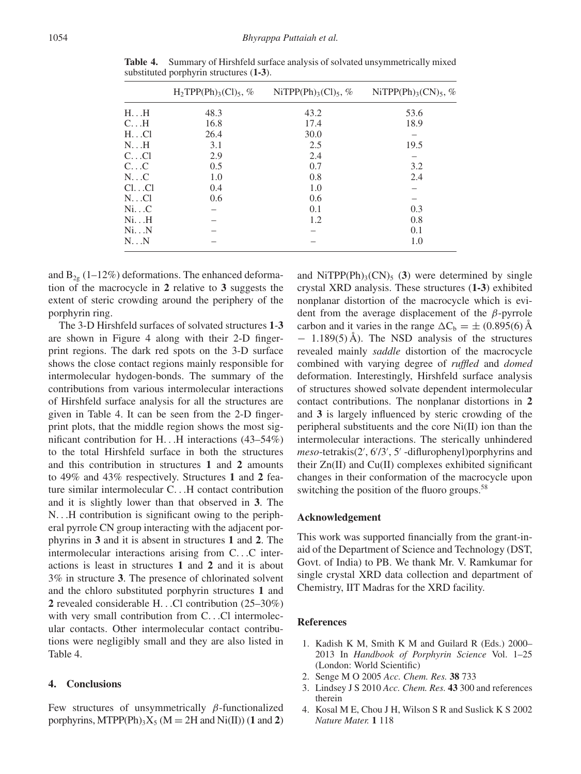|                           | $H_2TPP(Ph)_{3}(Cl)_{5}$ , % | NiTPP(Ph) <sub>3</sub> (Cl) <sub>5</sub> , % | NiTPP(Ph) <sub>3</sub> (CN) <sub>5</sub> , % |
|---------------------------|------------------------------|----------------------------------------------|----------------------------------------------|
| $H_{\cdot}$ . $H_{\cdot}$ | 48.3                         | 43.2                                         | 53.6                                         |
| $C_{\cdot}$ H             | 16.8                         | 17.4                                         | 18.9                                         |
| $H_{\cdot}$ . Cl          | 26.4                         | 30.0                                         |                                              |
| $N_{\cdot}$ . $H$         | 3.1                          | 2.5                                          | 19.5                                         |
| $C_{\cdot}$ Cl            | 2.9                          | 2.4                                          |                                              |
| $C_{\cdot}$ $C_{\cdot}$   | 0.5                          | 0.7                                          | 3.2                                          |
| $N_{\cdot}$ C             | 1.0                          | 0.8                                          | 2.4                                          |
| Cl. Cl                    | 0.4                          | 1.0                                          |                                              |
| $N$ Cl                    | 0.6                          | 0.6                                          |                                              |
| Ni. C                     |                              | 0.1                                          | 0.3                                          |
| NiH                       |                              | 1.2                                          | 0.8                                          |
| NiN                       |                              |                                              | 0.1                                          |
| $N_{\cdot}$ $N$           |                              |                                              | 1.0                                          |

**Table 4.** Summary of Hirshfeld surface analysis of solvated unsymmetrically mixed substituted porphyrin structures (**1-3**).

and  $B_{2g}$  (1–12%) deformations. The enhanced deformation of the macrocycle in **2** relative to **3** suggests the extent of steric crowding around the periphery of the porphyrin ring.

The 3-D Hirshfeld surfaces of solvated structures **1**-**3** are shown in Figure 4 along with their 2-D fingerprint regions. The dark red spots on the 3-D surface shows the close contact regions mainly responsible for intermolecular hydogen-bonds. The summary of the contributions from various intermolecular interactions of Hirshfeld surface analysis for all the structures are given in Table 4. It can be seen from the 2-D fingerprint plots, that the middle region shows the most significant contribution for H*...*H interactions (43–54%) to the total Hirshfeld surface in both the structures and this contribution in structures **1** and **2** amounts to 49% and 43% respectively. Structures **1** and **2** feature similar intermolecular C*...*H contact contribution and it is slightly lower than that observed in **3**. The N*...*H contribution is significant owing to the peripheral pyrrole CN group interacting with the adjacent porphyrins in **3** and it is absent in structures **1** and **2**. The intermolecular interactions arising from C*...*C interactions is least in structures **1** and **2** and it is about 3% in structure **3**. The presence of chlorinated solvent and the chloro substituted porphyrin structures **1** and **2** revealed considerable H*...*Cl contribution (25–30%) with very small contribution from C*...*Cl intermolecular contacts. Other intermolecular contact contributions were negligibly small and they are also listed in Table 4.

#### **4. Conclusions**

Few structures of unsymmetrically *β*-functionalized porphyrins, MTPP(Ph)<sub>3</sub>X<sub>5</sub> (M = 2H and Ni(II)) (1 and 2)

and NiTPP(Ph)<sub>3</sub>(CN)<sub>5</sub> (3) were determined by single crystal XRD analysis. These structures (**1-3**) exhibited nonplanar distortion of the macrocycle which is evident from the average displacement of the *β*-pyrrole carbon and it varies in the range  $\Delta C_b = \pm (0.895(6) \text{ Å})$ − 1.189(5) Å). The NSD analysis of the structures revealed mainly *saddle* distortion of the macrocycle combined with varying degree of *ruffled* and *domed* deformation. Interestingly, Hirshfeld surface analysis of structures showed solvate dependent intermolecular contact contributions. The nonplanar distortions in **2** and **3** is largely influenced by steric crowding of the peripheral substituents and the core Ni(II) ion than the intermolecular interactions. The sterically unhindered meso-tetrakis(2', 6'/3', 5' -diflurophenyl)porphyrins and their Zn(II) and Cu(II) complexes exhibited significant changes in their conformation of the macrocycle upon switching the position of the fluoro groups.<sup>58</sup>

#### **Acknowledgement**

This work was supported financially from the grant-inaid of the Department of Science and Technology (DST, Govt. of India) to PB. We thank Mr. V. Ramkumar for single crystal XRD data collection and department of Chemistry, IIT Madras for the XRD facility.

#### **References**

- 1. Kadish K M, Smith K M and Guilard R (Eds.) 2000– 2013 In *Handbook of Porphyrin Science* Vol. 1–25 (London: World Scientific)
- 2. Senge M O 2005 *Acc. Chem. Res.* **38** 733
- 3. Lindsey J S 2010 *Acc. Chem. Res.* **43** 300 and references therein
- 4. Kosal M E, Chou J H, Wilson S R and Suslick K S 2002 *Nature Mater.* **1** 118